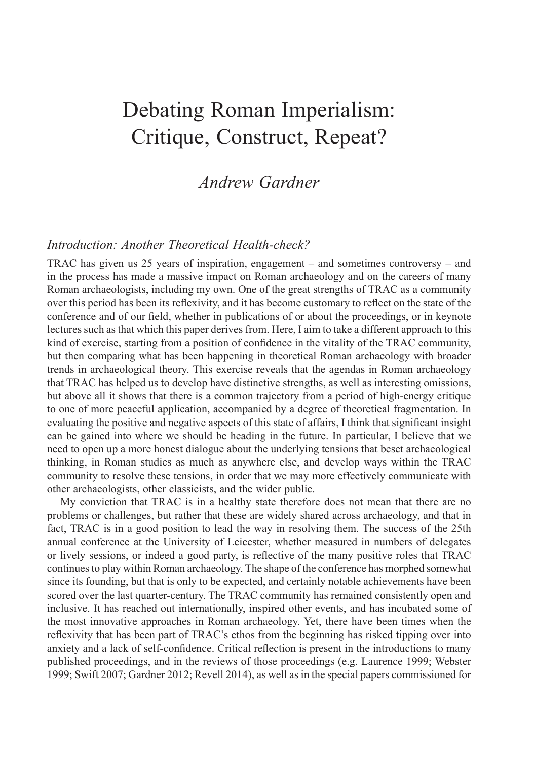# Debating Roman Imperialism: Critique, Construct, Repeat?

# *Andrew Gardner*

# *Introduction: Another Theoretical Health-check?*

TRAC has given us 25 years of inspiration, engagement – and sometimes controversy – and in the process has made a massive impact on Roman archaeology and on the careers of many Roman archaeologists, including my own. One of the great strengths of TRAC as a community over this period has been its reflexivity, and it has become customary to reflect on the state of the conference and of our field, whether in publications of or about the proceedings, or in keynote lectures such as that which this paper derives from. Here, I aim to take a different approach to this kind of exercise, starting from a position of confidence in the vitality of the TRAC community, but then comparing what has been happening in theoretical Roman archaeology with broader trends in archaeological theory. This exercise reveals that the agendas in Roman archaeology that TRAC has helped us to develop have distinctive strengths, as well as interesting omissions, but above all it shows that there is a common trajectory from a period of high-energy critique to one of more peaceful application, accompanied by a degree of theoretical fragmentation. In evaluating the positive and negative aspects of this state of affairs, I think that significant insight can be gained into where we should be heading in the future. In particular, I believe that we need to open up a more honest dialogue about the underlying tensions that beset archaeological thinking, in Roman studies as much as anywhere else, and develop ways within the TRAC community to resolve these tensions, in order that we may more effectively communicate with other archaeologists, other classicists, and the wider public.

My conviction that TRAC is in a healthy state therefore does not mean that there are no problems or challenges, but rather that these are widely shared across archaeology, and that in fact, TRAC is in a good position to lead the way in resolving them. The success of the 25th annual conference at the University of Leicester, whether measured in numbers of delegates or lively sessions, or indeed a good party, is reflective of the many positive roles that TRAC continues to play within Roman archaeology. The shape of the conference has morphed somewhat since its founding, but that is only to be expected, and certainly notable achievements have been scored over the last quarter-century. The TRAC community has remained consistently open and inclusive. It has reached out internationally, inspired other events, and has incubated some of the most innovative approaches in Roman archaeology. Yet, there have been times when the reflexivity that has been part of TRAC's ethos from the beginning has risked tipping over into anxiety and a lack of self-confidence. Critical reflection is present in the introductions to many published proceedings, and in the reviews of those proceedings (e.g. Laurence 1999; Webster 1999; Swift 2007; Gardner 2012; Revell 2014), as well as in the special papers commissioned for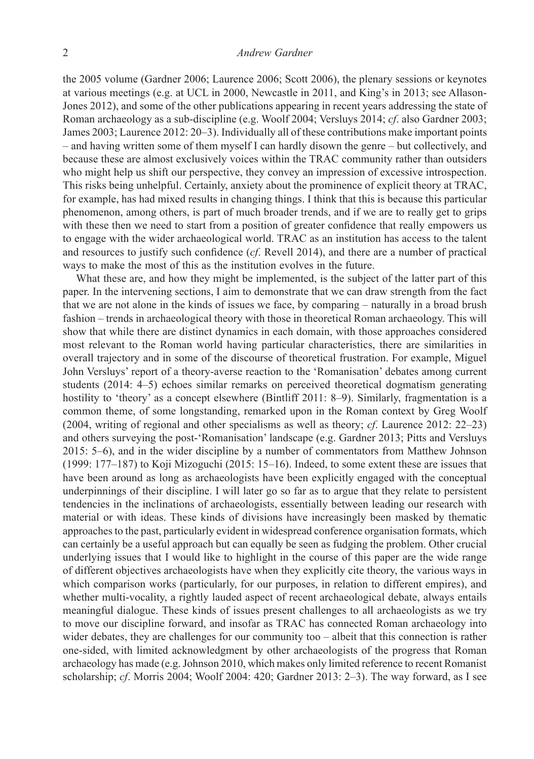the 2005 volume (Gardner 2006; Laurence 2006; Scott 2006), the plenary sessions or keynotes at various meetings (e.g. at UCL in 2000, Newcastle in 2011, and King's in 2013; see Allason-Jones 2012), and some of the other publications appearing in recent years addressing the state of Roman archaeology as a sub-discipline (e.g. Woolf 2004; Versluys 2014; *cf*. also Gardner 2003; James 2003; Laurence 2012: 20–3). Individually all of these contributions make important points – and having written some of them myself I can hardly disown the genre – but collectively, and because these are almost exclusively voices within the TRAC community rather than outsiders who might help us shift our perspective, they convey an impression of excessive introspection. This risks being unhelpful. Certainly, anxiety about the prominence of explicit theory at TRAC, for example, has had mixed results in changing things. I think that this is because this particular phenomenon, among others, is part of much broader trends, and if we are to really get to grips with these then we need to start from a position of greater confidence that really empowers us to engage with the wider archaeological world. TRAC as an institution has access to the talent and resources to justify such confidence (*cf*. Revell 2014), and there are a number of practical ways to make the most of this as the institution evolves in the future.

What these are, and how they might be implemented, is the subject of the latter part of this paper. In the intervening sections, I aim to demonstrate that we can draw strength from the fact that we are not alone in the kinds of issues we face, by comparing – naturally in a broad brush fashion – trends in archaeological theory with those in theoretical Roman archaeology. This will show that while there are distinct dynamics in each domain, with those approaches considered most relevant to the Roman world having particular characteristics, there are similarities in overall trajectory and in some of the discourse of theoretical frustration. For example, Miguel John Versluys' report of a theory-averse reaction to the 'Romanisation' debates among current students (2014: 4–5) echoes similar remarks on perceived theoretical dogmatism generating hostility to 'theory' as a concept elsewhere (Bintliff 2011: 8–9). Similarly, fragmentation is a common theme, of some longstanding, remarked upon in the Roman context by Greg Woolf (2004, writing of regional and other specialisms as well as theory; *cf*. Laurence 2012: 22–23) and others surveying the post-'Romanisation' landscape (e.g. Gardner 2013; Pitts and Versluys 2015: 5–6), and in the wider discipline by a number of commentators from Matthew Johnson (1999: 177–187) to Koji Mizoguchi (2015: 15–16). Indeed, to some extent these are issues that have been around as long as archaeologists have been explicitly engaged with the conceptual underpinnings of their discipline. I will later go so far as to argue that they relate to persistent tendencies in the inclinations of archaeologists, essentially between leading our research with material or with ideas. These kinds of divisions have increasingly been masked by thematic approaches to the past, particularly evident in widespread conference organisation formats, which can certainly be a useful approach but can equally be seen as fudging the problem. Other crucial underlying issues that I would like to highlight in the course of this paper are the wide range of different objectives archaeologists have when they explicitly cite theory, the various ways in which comparison works (particularly, for our purposes, in relation to different empires), and whether multi-vocality, a rightly lauded aspect of recent archaeological debate, always entails meaningful dialogue. These kinds of issues present challenges to all archaeologists as we try to move our discipline forward, and insofar as TRAC has connected Roman archaeology into wider debates, they are challenges for our community too – albeit that this connection is rather one-sided, with limited acknowledgment by other archaeologists of the progress that Roman archaeology has made (e.g. Johnson 2010, which makes only limited reference to recent Romanist scholarship; *cf*. Morris 2004; Woolf 2004: 420; Gardner 2013: 2–3). The way forward, as I see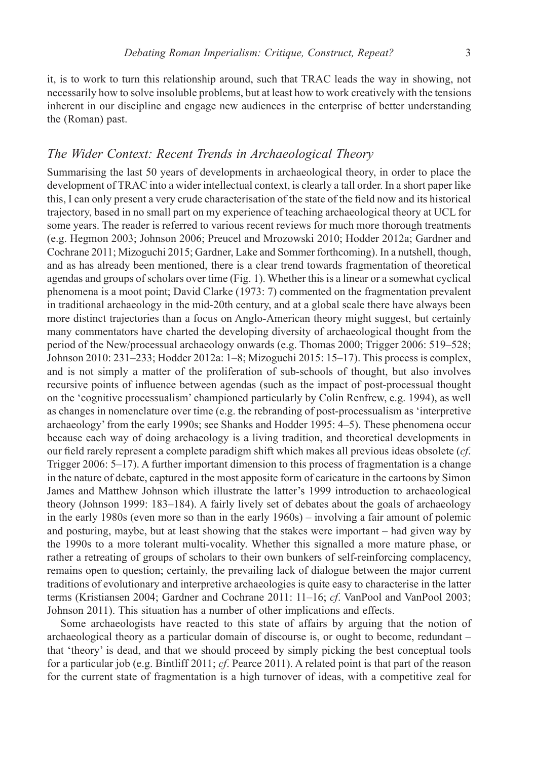it, is to work to turn this relationship around, such that TRAC leads the way in showing, not necessarily how to solve insoluble problems, but at least how to work creatively with the tensions inherent in our discipline and engage new audiences in the enterprise of better understanding the (Roman) past.

# *The Wider Context: Recent Trends in Archaeological Theory*

Summarising the last 50 years of developments in archaeological theory, in order to place the development of TRAC into a wider intellectual context, is clearly a tall order. In a short paper like this, I can only present a very crude characterisation of the state of the field now and its historical trajectory, based in no small part on my experience of teaching archaeological theory at UCL for some years. The reader is referred to various recent reviews for much more thorough treatments (e.g. Hegmon 2003; Johnson 2006; Preucel and Mrozowski 2010; Hodder 2012a; Gardner and Cochrane 2011; Mizoguchi 2015; Gardner, Lake and Sommer forthcoming). In a nutshell, though, and as has already been mentioned, there is a clear trend towards fragmentation of theoretical agendas and groups of scholars over time (Fig. 1). Whether this is a linear or a somewhat cyclical phenomena is a moot point; David Clarke (1973: 7) commented on the fragmentation prevalent in traditional archaeology in the mid-20th century, and at a global scale there have always been more distinct trajectories than a focus on Anglo-American theory might suggest, but certainly many commentators have charted the developing diversity of archaeological thought from the period of the New/processual archaeology onwards (e.g. Thomas 2000; Trigger 2006: 519–528; Johnson 2010: 231–233; Hodder 2012a: 1–8; Mizoguchi 2015: 15–17). This process is complex, and is not simply a matter of the proliferation of sub-schools of thought, but also involves recursive points of influence between agendas (such as the impact of post-processual thought on the 'cognitive processualism' championed particularly by Colin Renfrew, e.g. 1994), as well as changes in nomenclature over time (e.g. the rebranding of post-processualism as 'interpretive archaeology' from the early 1990s; see Shanks and Hodder 1995: 4–5). These phenomena occur because each way of doing archaeology is a living tradition, and theoretical developments in our field rarely represent a complete paradigm shift which makes all previous ideas obsolete (*cf*. Trigger 2006: 5–17). A further important dimension to this process of fragmentation is a change in the nature of debate, captured in the most apposite form of caricature in the cartoons by Simon James and Matthew Johnson which illustrate the latter's 1999 introduction to archaeological theory (Johnson 1999: 183–184). A fairly lively set of debates about the goals of archaeology in the early 1980s (even more so than in the early 1960s) – involving a fair amount of polemic and posturing, maybe, but at least showing that the stakes were important – had given way by the 1990s to a more tolerant multi-vocality. Whether this signalled a more mature phase, or rather a retreating of groups of scholars to their own bunkers of self-reinforcing complacency, remains open to question; certainly, the prevailing lack of dialogue between the major current traditions of evolutionary and interpretive archaeologies is quite easy to characterise in the latter terms (Kristiansen 2004; Gardner and Cochrane 2011: 11–16; *cf*. VanPool and VanPool 2003; Johnson 2011). This situation has a number of other implications and effects.

Some archaeologists have reacted to this state of affairs by arguing that the notion of archaeological theory as a particular domain of discourse is, or ought to become, redundant – that 'theory' is dead, and that we should proceed by simply picking the best conceptual tools for a particular job (e.g. Bintliff 2011; *cf*. Pearce 2011). A related point is that part of the reason for the current state of fragmentation is a high turnover of ideas, with a competitive zeal for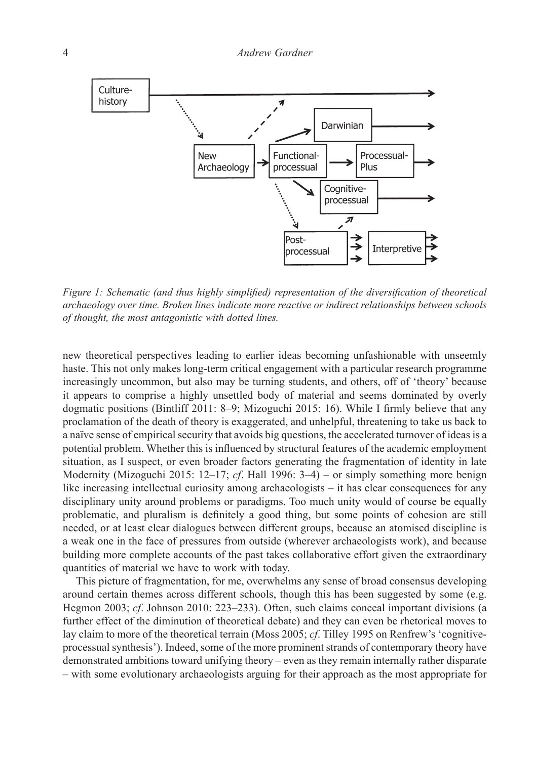

*Figure 1: Schematic (and thus highly simplified) representation of the diversification of theoretical archaeology over time. Broken lines indicate more reactive or indirect relationships between schools of thought, the most antagonistic with dotted lines.*

new theoretical perspectives leading to earlier ideas becoming unfashionable with unseemly haste. This not only makes long-term critical engagement with a particular research programme increasingly uncommon, but also may be turning students, and others, off of 'theory' because it appears to comprise a highly unsettled body of material and seems dominated by overly dogmatic positions (Bintliff 2011: 8–9; Mizoguchi 2015: 16). While I firmly believe that any proclamation of the death of theory is exaggerated, and unhelpful, threatening to take us back to a naïve sense of empirical security that avoids big questions, the accelerated turnover of ideas is a potential problem. Whether this is influenced by structural features of the academic employment situation, as I suspect, or even broader factors generating the fragmentation of identity in late Modernity (Mizoguchi 2015: 12–17; *cf*. Hall 1996: 3–4) – or simply something more benign like increasing intellectual curiosity among archaeologists – it has clear consequences for any disciplinary unity around problems or paradigms. Too much unity would of course be equally problematic, and pluralism is definitely a good thing, but some points of cohesion are still needed, or at least clear dialogues between different groups, because an atomised discipline is a weak one in the face of pressures from outside (wherever archaeologists work), and because building more complete accounts of the past takes collaborative effort given the extraordinary quantities of material we have to work with today.

This picture of fragmentation, for me, overwhelms any sense of broad consensus developing around certain themes across different schools, though this has been suggested by some (e.g. Hegmon 2003; *cf*. Johnson 2010: 223–233). Often, such claims conceal important divisions (a further effect of the diminution of theoretical debate) and they can even be rhetorical moves to lay claim to more of the theoretical terrain (Moss 2005; *cf*. Tilley 1995 on Renfrew's 'cognitiveprocessual synthesis'). Indeed, some of the more prominent strands of contemporary theory have demonstrated ambitions toward unifying theory – even as they remain internally rather disparate – with some evolutionary archaeologists arguing for their approach as the most appropriate for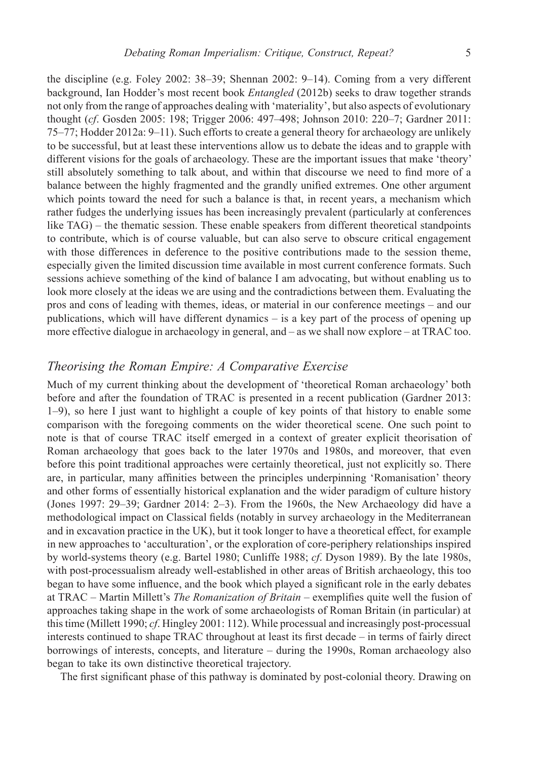the discipline (e.g. Foley 2002: 38–39; Shennan 2002: 9–14). Coming from a very different background, Ian Hodder's most recent book *Entangled* (2012b) seeks to draw together strands not only from the range of approaches dealing with 'materiality', but also aspects of evolutionary thought (*cf*. Gosden 2005: 198; Trigger 2006: 497–498; Johnson 2010: 220–7; Gardner 2011: 75–77; Hodder 2012a: 9–11). Such efforts to create a general theory for archaeology are unlikely to be successful, but at least these interventions allow us to debate the ideas and to grapple with different visions for the goals of archaeology. These are the important issues that make 'theory' still absolutely something to talk about, and within that discourse we need to find more of a balance between the highly fragmented and the grandly unified extremes. One other argument which points toward the need for such a balance is that, in recent years, a mechanism which rather fudges the underlying issues has been increasingly prevalent (particularly at conferences like TAG) – the thematic session. These enable speakers from different theoretical standpoints to contribute, which is of course valuable, but can also serve to obscure critical engagement with those differences in deference to the positive contributions made to the session theme, especially given the limited discussion time available in most current conference formats. Such sessions achieve something of the kind of balance I am advocating, but without enabling us to look more closely at the ideas we are using and the contradictions between them. Evaluating the pros and cons of leading with themes, ideas, or material in our conference meetings – and our publications, which will have different dynamics – is a key part of the process of opening up more effective dialogue in archaeology in general, and – as we shall now explore – at TRAC too.

# *Theorising the Roman Empire: A Comparative Exercise*

Much of my current thinking about the development of 'theoretical Roman archaeology' both before and after the foundation of TRAC is presented in a recent publication (Gardner 2013: 1–9), so here I just want to highlight a couple of key points of that history to enable some comparison with the foregoing comments on the wider theoretical scene. One such point to note is that of course TRAC itself emerged in a context of greater explicit theorisation of Roman archaeology that goes back to the later 1970s and 1980s, and moreover, that even before this point traditional approaches were certainly theoretical, just not explicitly so. There are, in particular, many affinities between the principles underpinning 'Romanisation' theory and other forms of essentially historical explanation and the wider paradigm of culture history (Jones 1997: 29–39; Gardner 2014: 2–3). From the 1960s, the New Archaeology did have a methodological impact on Classical fields (notably in survey archaeology in the Mediterranean and in excavation practice in the UK), but it took longer to have a theoretical effect, for example in new approaches to 'acculturation', or the exploration of core-periphery relationships inspired by world-systems theory (e.g. Bartel 1980; Cunliffe 1988; *cf*. Dyson 1989). By the late 1980s, with post-processualism already well-established in other areas of British archaeology, this too began to have some influence, and the book which played a significant role in the early debates at TRAC – Martin Millett's *The Romanization of Britain* – exemplifies quite well the fusion of approaches taking shape in the work of some archaeologists of Roman Britain (in particular) at this time (Millett 1990; *cf*. Hingley 2001: 112). While processual and increasingly post-processual interests continued to shape TRAC throughout at least its first decade – in terms of fairly direct borrowings of interests, concepts, and literature – during the 1990s, Roman archaeology also began to take its own distinctive theoretical trajectory.

The first significant phase of this pathway is dominated by post-colonial theory. Drawing on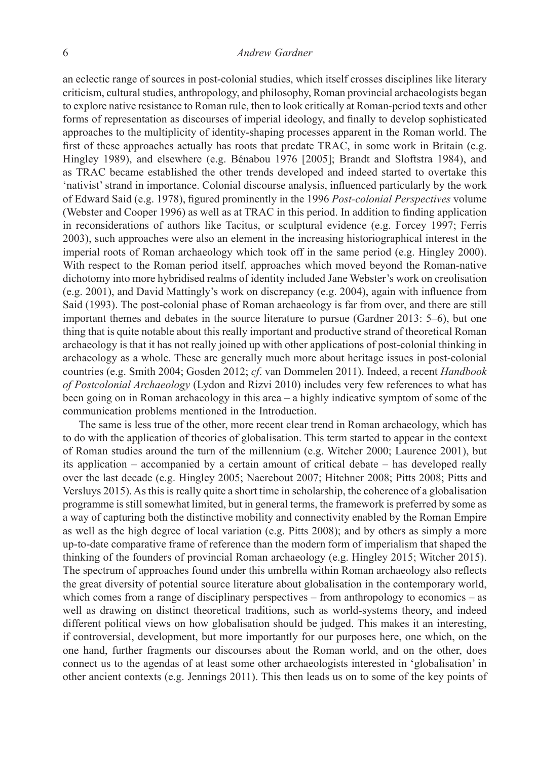#### 6 *Andrew Gardner*

an eclectic range of sources in post-colonial studies, which itself crosses disciplines like literary criticism, cultural studies, anthropology, and philosophy, Roman provincial archaeologists began to explore native resistance to Roman rule, then to look critically at Roman-period texts and other forms of representation as discourses of imperial ideology, and finally to develop sophisticated approaches to the multiplicity of identity-shaping processes apparent in the Roman world. The first of these approaches actually has roots that predate TRAC, in some work in Britain (e.g. Hingley 1989), and elsewhere (e.g. Bénabou 1976 [2005]; Brandt and Sloftstra 1984), and as TRAC became established the other trends developed and indeed started to overtake this 'nativist' strand in importance. Colonial discourse analysis, influenced particularly by the work of Edward Said (e.g. 1978), figured prominently in the 1996 *Post-colonial Perspectives* volume (Webster and Cooper 1996) as well as at TRAC in this period. In addition to finding application in reconsiderations of authors like Tacitus, or sculptural evidence (e.g. Forcey 1997; Ferris 2003), such approaches were also an element in the increasing historiographical interest in the imperial roots of Roman archaeology which took off in the same period (e.g. Hingley 2000). With respect to the Roman period itself, approaches which moved beyond the Roman-native dichotomy into more hybridised realms of identity included Jane Webster's work on creolisation (e.g. 2001), and David Mattingly's work on discrepancy (e.g. 2004), again with influence from Said (1993). The post-colonial phase of Roman archaeology is far from over, and there are still important themes and debates in the source literature to pursue (Gardner 2013: 5–6), but one thing that is quite notable about this really important and productive strand of theoretical Roman archaeology is that it has not really joined up with other applications of post-colonial thinking in archaeology as a whole. These are generally much more about heritage issues in post-colonial countries (e.g. Smith 2004; Gosden 2012; *cf*. van Dommelen 2011). Indeed, a recent *Handbook of Postcolonial Archaeology* (Lydon and Rizvi 2010) includes very few references to what has been going on in Roman archaeology in this area – a highly indicative symptom of some of the communication problems mentioned in the Introduction.

 The same is less true of the other, more recent clear trend in Roman archaeology, which has to do with the application of theories of globalisation. This term started to appear in the context of Roman studies around the turn of the millennium (e.g. Witcher 2000; Laurence 2001), but its application – accompanied by a certain amount of critical debate – has developed really over the last decade (e.g. Hingley 2005; Naerebout 2007; Hitchner 2008; Pitts 2008; Pitts and Versluys 2015). As this is really quite a short time in scholarship, the coherence of a globalisation programme is still somewhat limited, but in general terms, the framework is preferred by some as a way of capturing both the distinctive mobility and connectivity enabled by the Roman Empire as well as the high degree of local variation (e.g. Pitts 2008); and by others as simply a more up-to-date comparative frame of reference than the modern form of imperialism that shaped the thinking of the founders of provincial Roman archaeology (e.g. Hingley 2015; Witcher 2015). The spectrum of approaches found under this umbrella within Roman archaeology also reflects the great diversity of potential source literature about globalisation in the contemporary world, which comes from a range of disciplinary perspectives – from anthropology to economics – as well as drawing on distinct theoretical traditions, such as world-systems theory, and indeed different political views on how globalisation should be judged. This makes it an interesting, if controversial, development, but more importantly for our purposes here, one which, on the one hand, further fragments our discourses about the Roman world, and on the other, does connect us to the agendas of at least some other archaeologists interested in 'globalisation' in other ancient contexts (e.g. Jennings 2011). This then leads us on to some of the key points of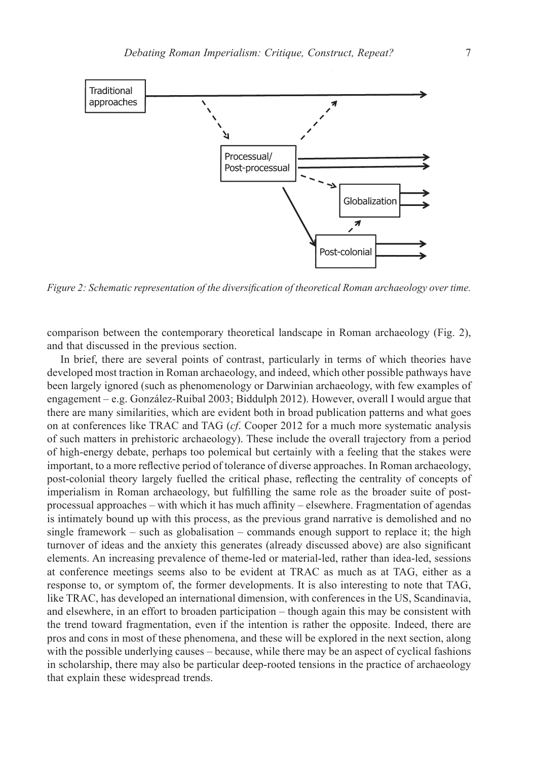

*Figure 2: Schematic representation of the diversification of theoretical Roman archaeology over time.*

comparison between the contemporary theoretical landscape in Roman archaeology (Fig. 2), and that discussed in the previous section.

In brief, there are several points of contrast, particularly in terms of which theories have developed most traction in Roman archaeology, and indeed, which other possible pathways have been largely ignored (such as phenomenology or Darwinian archaeology, with few examples of engagement – e.g. González-Ruibal 2003; Biddulph 2012). However, overall I would argue that there are many similarities, which are evident both in broad publication patterns and what goes on at conferences like TRAC and TAG (*cf*. Cooper 2012 for a much more systematic analysis of such matters in prehistoric archaeology). These include the overall trajectory from a period of high-energy debate, perhaps too polemical but certainly with a feeling that the stakes were important, to a more reflective period of tolerance of diverse approaches. In Roman archaeology, post-colonial theory largely fuelled the critical phase, reflecting the centrality of concepts of imperialism in Roman archaeology, but fulfilling the same role as the broader suite of postprocessual approaches – with which it has much affinity – elsewhere. Fragmentation of agendas is intimately bound up with this process, as the previous grand narrative is demolished and no single framework – such as globalisation – commands enough support to replace it; the high turnover of ideas and the anxiety this generates (already discussed above) are also significant elements. An increasing prevalence of theme-led or material-led, rather than idea-led, sessions at conference meetings seems also to be evident at TRAC as much as at TAG, either as a response to, or symptom of, the former developments. It is also interesting to note that TAG, like TRAC, has developed an international dimension, with conferences in the US, Scandinavia, and elsewhere, in an effort to broaden participation – though again this may be consistent with the trend toward fragmentation, even if the intention is rather the opposite. Indeed, there are pros and cons in most of these phenomena, and these will be explored in the next section, along with the possible underlying causes – because, while there may be an aspect of cyclical fashions in scholarship, there may also be particular deep-rooted tensions in the practice of archaeology that explain these widespread trends.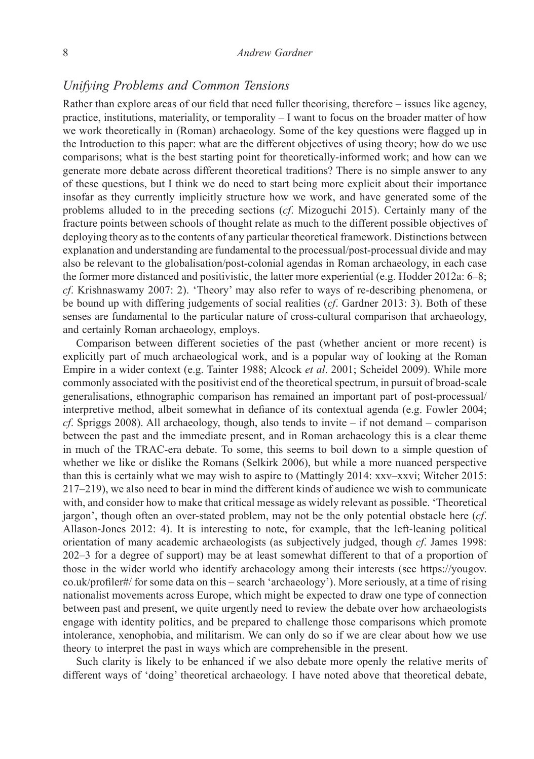# *Unifying Problems and Common Tensions*

Rather than explore areas of our field that need fuller theorising, therefore – issues like agency, practice, institutions, materiality, or temporality – I want to focus on the broader matter of how we work theoretically in (Roman) archaeology. Some of the key questions were flagged up in the Introduction to this paper: what are the different objectives of using theory; how do we use comparisons; what is the best starting point for theoretically-informed work; and how can we generate more debate across different theoretical traditions? There is no simple answer to any of these questions, but I think we do need to start being more explicit about their importance insofar as they currently implicitly structure how we work, and have generated some of the problems alluded to in the preceding sections (*cf*. Mizoguchi 2015). Certainly many of the fracture points between schools of thought relate as much to the different possible objectives of deploying theory as to the contents of any particular theoretical framework. Distinctions between explanation and understanding are fundamental to the processual/post-processual divide and may also be relevant to the globalisation/post-colonial agendas in Roman archaeology, in each case the former more distanced and positivistic, the latter more experiential (e.g. Hodder 2012a: 6–8; *cf*. Krishnaswamy 2007: 2). 'Theory' may also refer to ways of re-describing phenomena, or be bound up with differing judgements of social realities (*cf*. Gardner 2013: 3). Both of these senses are fundamental to the particular nature of cross-cultural comparison that archaeology, and certainly Roman archaeology, employs.

Comparison between different societies of the past (whether ancient or more recent) is explicitly part of much archaeological work, and is a popular way of looking at the Roman Empire in a wider context (e.g. Tainter 1988; Alcock *et al*. 2001; Scheidel 2009). While more commonly associated with the positivist end of the theoretical spectrum, in pursuit of broad-scale generalisations, ethnographic comparison has remained an important part of post-processual/ interpretive method, albeit somewhat in defiance of its contextual agenda (e.g. Fowler 2004; *cf*. Spriggs 2008). All archaeology, though, also tends to invite – if not demand – comparison between the past and the immediate present, and in Roman archaeology this is a clear theme in much of the TRAC-era debate. To some, this seems to boil down to a simple question of whether we like or dislike the Romans (Selkirk 2006), but while a more nuanced perspective than this is certainly what we may wish to aspire to (Mattingly 2014: xxv–xxvi; Witcher 2015: 217–219), we also need to bear in mind the different kinds of audience we wish to communicate with, and consider how to make that critical message as widely relevant as possible. 'Theoretical jargon', though often an over-stated problem, may not be the only potential obstacle here (*cf*. Allason-Jones 2012: 4). It is interesting to note, for example, that the left-leaning political orientation of many academic archaeologists (as subjectively judged, though *cf*. James 1998: 202–3 for a degree of support) may be at least somewhat different to that of a proportion of those in the wider world who identify archaeology among their interests (see https://yougov. co.uk/profiler#/ for some data on this – search 'archaeology'). More seriously, at a time of rising nationalist movements across Europe, which might be expected to draw one type of connection between past and present, we quite urgently need to review the debate over how archaeologists engage with identity politics, and be prepared to challenge those comparisons which promote intolerance, xenophobia, and militarism. We can only do so if we are clear about how we use theory to interpret the past in ways which are comprehensible in the present.

Such clarity is likely to be enhanced if we also debate more openly the relative merits of different ways of 'doing' theoretical archaeology. I have noted above that theoretical debate,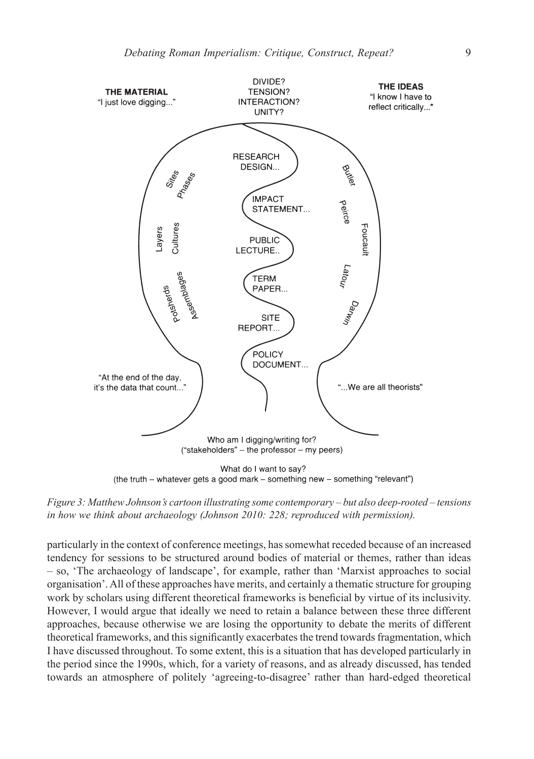

*Figure 3: Matthew Johnson's cartoon illustrating some contemporary – but also deep-rooted – tensions in how we think about archaeology (Johnson 2010: 228; reproduced with permission).*

particularly in the context of conference meetings, has somewhat receded because of an increased tendency for sessions to be structured around bodies of material or themes, rather than ideas – so, 'The archaeology of landscape', for example, rather than 'Marxist approaches to social organisation'. All of these approaches have merits, and certainly a thematic structure for grouping work by scholars using different theoretical frameworks is beneficial by virtue of its inclusivity. However, I would argue that ideally we need to retain a balance between these three different approaches, because otherwise we are losing the opportunity to debate the merits of different theoretical frameworks, and this significantly exacerbates the trend towards fragmentation, which I have discussed throughout. To some extent, this is a situation that has developed particularly in the period since the 1990s, which, for a variety of reasons, and as already discussed, has tended towards an atmosphere of politely 'agreeing-to-disagree' rather than hard-edged theoretical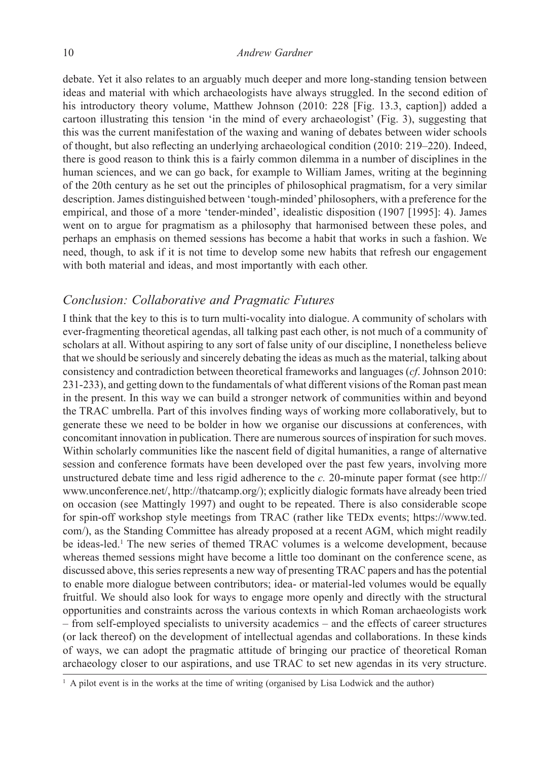debate. Yet it also relates to an arguably much deeper and more long-standing tension between ideas and material with which archaeologists have always struggled. In the second edition of his introductory theory volume, Matthew Johnson (2010: 228 [Fig. 13.3, caption]) added a cartoon illustrating this tension 'in the mind of every archaeologist' (Fig. 3), suggesting that this was the current manifestation of the waxing and waning of debates between wider schools of thought, but also reflecting an underlying archaeological condition (2010: 219–220). Indeed, there is good reason to think this is a fairly common dilemma in a number of disciplines in the human sciences, and we can go back, for example to William James, writing at the beginning of the 20th century as he set out the principles of philosophical pragmatism, for a very similar description. James distinguished between 'tough-minded' philosophers, with a preference for the empirical, and those of a more 'tender-minded', idealistic disposition (1907 [1995]: 4). James went on to argue for pragmatism as a philosophy that harmonised between these poles, and perhaps an emphasis on themed sessions has become a habit that works in such a fashion. We need, though, to ask if it is not time to develop some new habits that refresh our engagement with both material and ideas, and most importantly with each other.

# *Conclusion: Collaborative and Pragmatic Futures*

I think that the key to this is to turn multi-vocality into dialogue. A community of scholars with ever-fragmenting theoretical agendas, all talking past each other, is not much of a community of scholars at all. Without aspiring to any sort of false unity of our discipline, I nonetheless believe that we should be seriously and sincerely debating the ideas as much as the material, talking about consistency and contradiction between theoretical frameworks and languages (*cf*. Johnson 2010: 231-233), and getting down to the fundamentals of what different visions of the Roman past mean in the present. In this way we can build a stronger network of communities within and beyond the TRAC umbrella. Part of this involves finding ways of working more collaboratively, but to generate these we need to be bolder in how we organise our discussions at conferences, with concomitant innovation in publication. There are numerous sources of inspiration for such moves. Within scholarly communities like the nascent field of digital humanities, a range of alternative session and conference formats have been developed over the past few years, involving more unstructured debate time and less rigid adherence to the *c.* 20-minute paper format (see http:// www.unconference.net/, http://thatcamp.org/); explicitly dialogic formats have already been tried on occasion (see Mattingly 1997) and ought to be repeated. There is also considerable scope for spin-off workshop style meetings from TRAC (rather like TEDx events; https://www.ted. com/), as the Standing Committee has already proposed at a recent AGM, which might readily be ideas-led.1 The new series of themed TRAC volumes is a welcome development, because whereas themed sessions might have become a little too dominant on the conference scene, as discussed above, this series represents a new way of presenting TRAC papers and has the potential to enable more dialogue between contributors; idea- or material-led volumes would be equally fruitful. We should also look for ways to engage more openly and directly with the structural opportunities and constraints across the various contexts in which Roman archaeologists work – from self-employed specialists to university academics – and the effects of career structures (or lack thereof) on the development of intellectual agendas and collaborations. In these kinds of ways, we can adopt the pragmatic attitude of bringing our practice of theoretical Roman archaeology closer to our aspirations, and use TRAC to set new agendas in its very structure.

<sup>&</sup>lt;sup>1</sup> A pilot event is in the works at the time of writing (organised by Lisa Lodwick and the author)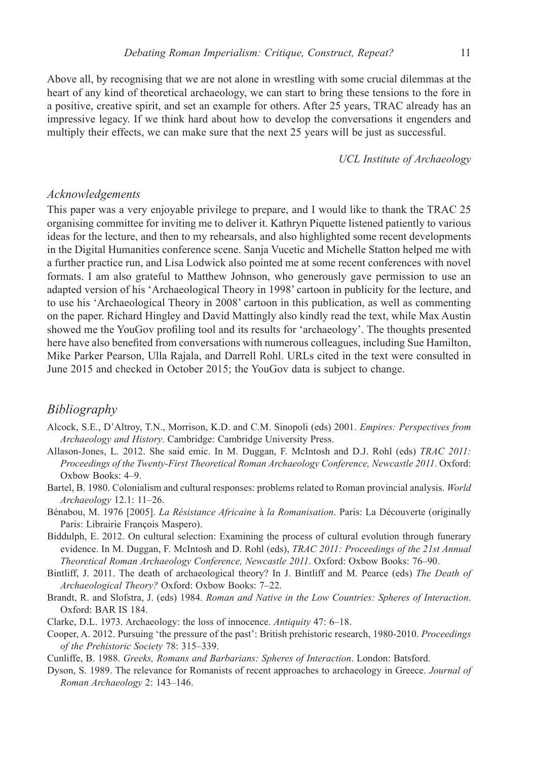Above all, by recognising that we are not alone in wrestling with some crucial dilemmas at the heart of any kind of theoretical archaeology, we can start to bring these tensions to the fore in a positive, creative spirit, and set an example for others. After 25 years, TRAC already has an impressive legacy. If we think hard about how to develop the conversations it engenders and multiply their effects, we can make sure that the next 25 years will be just as successful.

*UCL Institute of Archaeology*

# *Acknowledgements*

This paper was a very enjoyable privilege to prepare, and I would like to thank the TRAC 25 organising committee for inviting me to deliver it. Kathryn Piquette listened patiently to various ideas for the lecture, and then to my rehearsals, and also highlighted some recent developments in the Digital Humanities conference scene. Sanja Vucetic and Michelle Statton helped me with a further practice run, and Lisa Lodwick also pointed me at some recent conferences with novel formats. I am also grateful to Matthew Johnson, who generously gave permission to use an adapted version of his 'Archaeological Theory in 1998' cartoon in publicity for the lecture, and to use his 'Archaeological Theory in 2008' cartoon in this publication, as well as commenting on the paper. Richard Hingley and David Mattingly also kindly read the text, while Max Austin showed me the YouGov profiling tool and its results for 'archaeology'. The thoughts presented here have also benefited from conversations with numerous colleagues, including Sue Hamilton, Mike Parker Pearson, Ulla Rajala, and Darrell Rohl. URLs cited in the text were consulted in June 2015 and checked in October 2015; the YouGov data is subject to change.

### *Bibliography*

- Alcock, S.E., D'Altroy, T.N., Morrison, K.D. and C.M. Sinopoli (eds) 2001. *Empires: Perspectives from Archaeology and History*. Cambridge: Cambridge University Press.
- Allason-Jones, L. 2012. She said emic. In M. Duggan, F. McIntosh and D.J. Rohl (eds) *TRAC 2011: Proceedings of the Twenty-First Theoretical Roman Archaeology Conference, Newcastle 2011*. Oxford: Oxbow Books: 4–9.
- Bartel, B. 1980. Colonialism and cultural responses: problems related to Roman provincial analysis. *World Archaeology* 12.1: 11–26.
- Bénabou, M. 1976 [2005]. *La Résistance Africaine* à *la Romanisation*. Paris: La Découverte (originally Paris: Librairie François Maspero).
- Biddulph, E. 2012. On cultural selection: Examining the process of cultural evolution through funerary evidence. In M. Duggan, F. McIntosh and D. Rohl (eds), *TRAC 2011: Proceedings of the 21st Annual Theoretical Roman Archaeology Conference, Newcastle 2011*. Oxford: Oxbow Books: 76–90.
- Bintliff, J. 2011. The death of archaeological theory? In J. Bintliff and M. Pearce (eds) *The Death of Archaeological Theory?* Oxford: Oxbow Books: 7–22.
- Brandt, R. and Slofstra, J. (eds) 1984. *Roman and Native in the Low Countries: Spheres of Interaction*. Oxford: BAR IS 184.
- Clarke, D.L. 1973. Archaeology: the loss of innocence. *Antiquity* 47: 6–18.
- Cooper, A. 2012. Pursuing 'the pressure of the past': British prehistoric research, 1980-2010. *Proceedings of the Prehistoric Society* 78: 315–339.
- Cunliffe, B. 1988. *Greeks, Romans and Barbarians: Spheres of Interaction*. London: Batsford.
- Dyson, S. 1989. The relevance for Romanists of recent approaches to archaeology in Greece. *Journal of Roman Archaeology* 2: 143–146.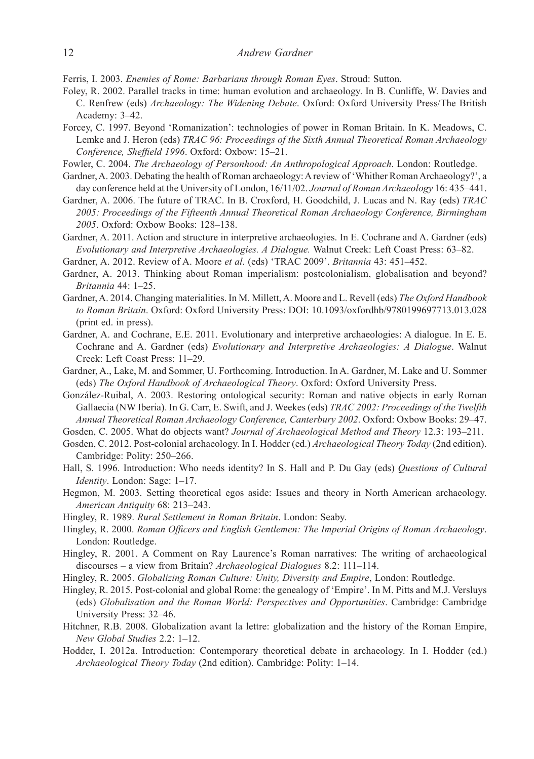Ferris, I. 2003. *Enemies of Rome: Barbarians through Roman Eyes*. Stroud: Sutton.

- Foley, R. 2002. Parallel tracks in time: human evolution and archaeology. In B. Cunliffe, W. Davies and C. Renfrew (eds) *Archaeology: The Widening Debate*. Oxford: Oxford University Press/The British Academy: 3–42.
- Forcey, C. 1997. Beyond 'Romanization': technologies of power in Roman Britain. In K. Meadows, C. Lemke and J. Heron (eds) *TRAC 96: Proceedings of the Sixth Annual Theoretical Roman Archaeology Conference, Sheffield 1996*. Oxford: Oxbow: 15–21.
- Fowler, C. 2004. *The Archaeology of Personhood: An Anthropological Approach*. London: Routledge.
- Gardner, A. 2003. Debating the health of Roman archaeology: A review of 'Whither Roman Archaeology?', a day conference held at the University of London, 16/11/02. *Journal of Roman Archaeology* 16: 435–441.
- Gardner, A. 2006. The future of TRAC. In B. Croxford, H. Goodchild, J. Lucas and N. Ray (eds) *TRAC 2005: Proceedings of the Fifteenth Annual Theoretical Roman Archaeology Conference, Birmingham 2005*. Oxford: Oxbow Books: 128–138.
- Gardner, A. 2011. Action and structure in interpretive archaeologies. In E. Cochrane and A. Gardner (eds) *Evolutionary and Interpretive Archaeologies. A Dialogue.* Walnut Creek: Left Coast Press: 63–82.
- Gardner, A. 2012. Review of A. Moore *et al*. (eds) 'TRAC 2009'. *Britannia* 43: 451–452.
- Gardner, A. 2013. Thinking about Roman imperialism: postcolonialism, globalisation and beyond? *Britannia* 44: 1–25.
- Gardner, A. 2014. Changing materialities. In M. Millett, A. Moore and L. Revell (eds) *The Oxford Handbook to Roman Britain*. Oxford: Oxford University Press: DOI: 10.1093/oxfordhb/9780199697713.013.028 (print ed. in press).
- Gardner, A. and Cochrane, E.E. 2011. Evolutionary and interpretive archaeologies: A dialogue. In E. E. Cochrane and A. Gardner (eds) *Evolutionary and Interpretive Archaeologies: A Dialogue*. Walnut Creek: Left Coast Press: 11–29.
- Gardner, A., Lake, M. and Sommer, U. Forthcoming. Introduction. In A. Gardner, M. Lake and U. Sommer (eds) *The Oxford Handbook of Archaeological Theory*. Oxford: Oxford University Press.
- González-Ruibal, A. 2003. Restoring ontological security: Roman and native objects in early Roman Gallaecia (NW Iberia). In G. Carr, E. Swift, and J. Weekes (eds) *TRAC 2002: Proceedings of the Twelfth Annual Theoretical Roman Archaeology Conference, Canterbury 2002*. Oxford: Oxbow Books: 29–47.

Gosden, C. 2005. What do objects want? *Journal of Archaeological Method and Theory* 12.3: 193–211.

- Gosden, C. 2012. Post-colonial archaeology. In I. Hodder (ed.) *Archaeological Theory Today* (2nd edition). Cambridge: Polity: 250–266.
- Hall, S. 1996. Introduction: Who needs identity? In S. Hall and P. Du Gay (eds) *Questions of Cultural Identity*. London: Sage: 1–17.
- Hegmon, M. 2003. Setting theoretical egos aside: Issues and theory in North American archaeology. *American Antiquity* 68: 213–243.
- Hingley, R. 1989. *Rural Settlement in Roman Britain*. London: Seaby.
- Hingley, R. 2000. *Roman Officers and English Gentlemen: The Imperial Origins of Roman Archaeology*. London: Routledge.
- Hingley, R. 2001. A Comment on Ray Laurence's Roman narratives: The writing of archaeological discourses – a view from Britain? *Archaeological Dialogues* 8.2: 111–114.
- Hingley, R. 2005. *Globalizing Roman Culture: Unity, Diversity and Empire*, London: Routledge.
- Hingley, R. 2015. Post-colonial and global Rome: the genealogy of 'Empire'. In M. Pitts and M.J. Versluys (eds) *Globalisation and the Roman World: Perspectives and Opportunities*. Cambridge: Cambridge University Press: 32–46.
- Hitchner, R.B. 2008. Globalization avant la lettre: globalization and the history of the Roman Empire, *New Global Studies* 2.2: 1–12.
- Hodder, I. 2012a. Introduction: Contemporary theoretical debate in archaeology. In I. Hodder (ed.) *Archaeological Theory Today* (2nd edition). Cambridge: Polity: 1–14.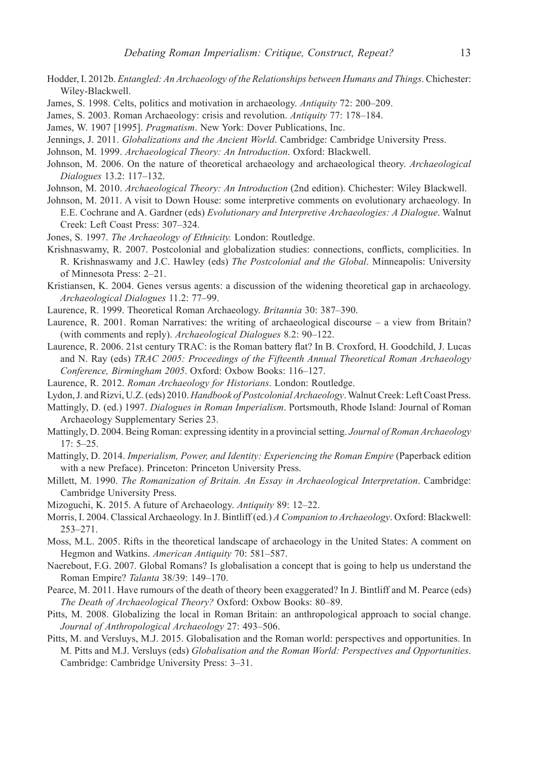- Hodder, I. 2012b. *Entangled: An Archaeology of the Relationships between Humans and Things*. Chichester: Wiley-Blackwell.
- James, S. 1998. Celts, politics and motivation in archaeology. *Antiquity* 72: 200–209.
- James, S. 2003. Roman Archaeology: crisis and revolution. *Antiquity* 77: 178–184.
- James, W. 1907 [1995]. *Pragmatism*. New York: Dover Publications, Inc.
- Jennings, J. 2011. *Globalizations and the Ancient World*. Cambridge: Cambridge University Press.
- Johnson, M. 1999. *Archaeological Theory: An Introduction*. Oxford: Blackwell.
- Johnson, M. 2006. On the nature of theoretical archaeology and archaeological theory. *Archaeological Dialogues* 13.2: 117–132.
- Johnson, M. 2010. *Archaeological Theory: An Introduction* (2nd edition). Chichester: Wiley Blackwell.
- Johnson, M. 2011. A visit to Down House: some interpretive comments on evolutionary archaeology. In E.E. Cochrane and A. Gardner (eds) *Evolutionary and Interpretive Archaeologies: A Dialogue*. Walnut Creek: Left Coast Press: 307–324.
- Jones, S. 1997. *The Archaeology of Ethnicity.* London: Routledge.
- Krishnaswamy, R. 2007. Postcolonial and globalization studies: connections, conflicts, complicities. In R. Krishnaswamy and J.C. Hawley (eds) *The Postcolonial and the Global*. Minneapolis: University of Minnesota Press: 2–21.
- Kristiansen, K. 2004. Genes versus agents: a discussion of the widening theoretical gap in archaeology. *Archaeological Dialogues* 11.2: 77–99.
- Laurence, R. 1999. Theoretical Roman Archaeology. *Britannia* 30: 387–390.
- Laurence, R. 2001. Roman Narratives: the writing of archaeological discourse a view from Britain? (with comments and reply). *Archaeological Dialogues* 8.2: 90–122.
- Laurence, R. 2006. 21st century TRAC: is the Roman battery flat? In B. Croxford, H. Goodchild, J. Lucas and N. Ray (eds) *TRAC 2005: Proceedings of the Fifteenth Annual Theoretical Roman Archaeology Conference, Birmingham 2005*. Oxford: Oxbow Books: 116–127.
- Laurence, R. 2012. *Roman Archaeology for Historians*. London: Routledge.
- Lydon, J. and Rizvi, U.Z. (eds) 2010. *Handbook of Postcolonial Archaeology*. Walnut Creek: Left Coast Press.
- Mattingly, D. (ed.) 1997. *Dialogues in Roman Imperialism*. Portsmouth, Rhode Island: Journal of Roman Archaeology Supplementary Series 23.
- Mattingly, D. 2004. Being Roman: expressing identity in a provincial setting. *Journal of Roman Archaeology* 17: 5–25.
- Mattingly, D. 2014. *Imperialism, Power, and Identity: Experiencing the Roman Empire* (Paperback edition with a new Preface). Princeton: Princeton University Press.
- Millett, M. 1990. *The Romanization of Britain. An Essay in Archaeological Interpretation*. Cambridge: Cambridge University Press.
- Mizoguchi, K. 2015. A future of Archaeology. *Antiquity* 89: 12–22.
- Morris, I. 2004. Classical Archaeology. In J. Bintliff (ed.) *A Companion to Archaeology*. Oxford: Blackwell: 253–271.
- Moss, M.L. 2005. Rifts in the theoretical landscape of archaeology in the United States: A comment on Hegmon and Watkins. *American Antiquity* 70: 581–587.
- Naerebout, F.G. 2007. Global Romans? Is globalisation a concept that is going to help us understand the Roman Empire? *Talanta* 38/39: 149–170.
- Pearce, M. 2011. Have rumours of the death of theory been exaggerated? In J. Bintliff and M. Pearce (eds) *The Death of Archaeological Theory?* Oxford: Oxbow Books: 80–89.
- Pitts, M. 2008. Globalizing the local in Roman Britain: an anthropological approach to social change. *Journal of Anthropological Archaeology* 27: 493–506.
- Pitts, M. and Versluys, M.J. 2015. Globalisation and the Roman world: perspectives and opportunities. In M. Pitts and M.J. Versluys (eds) *Globalisation and the Roman World: Perspectives and Opportunities*. Cambridge: Cambridge University Press: 3–31.